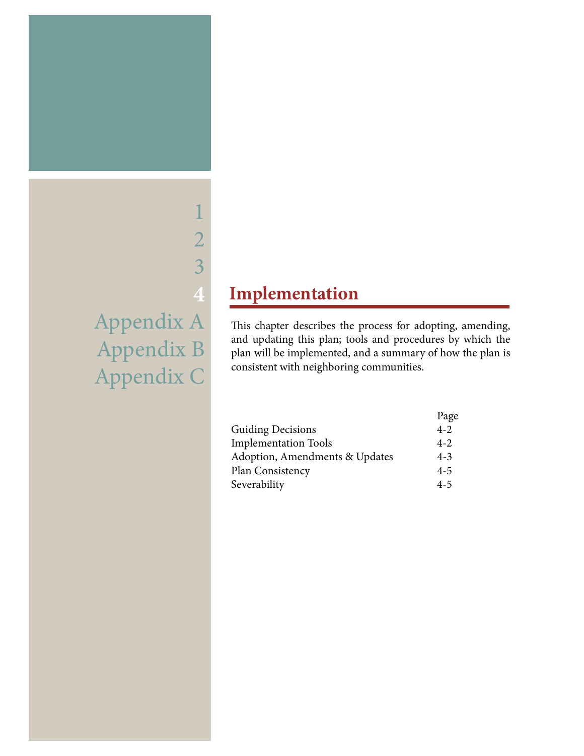# 2 3 **4** Appendix A Appendix B Appendix C

1

## **Implementation**

This chapter describes the process for adopting, amending, and updating this plan; tools and procedures by which the plan will be implemented, and a summary of how the plan is consistent with neighboring communities.

|                                | Page    |
|--------------------------------|---------|
| <b>Guiding Decisions</b>       | $4 - 2$ |
| <b>Implementation Tools</b>    | $4 - 2$ |
| Adoption, Amendments & Updates | $4 - 3$ |
| Plan Consistency               | $4 - 5$ |
| Severability                   | $4 - 5$ |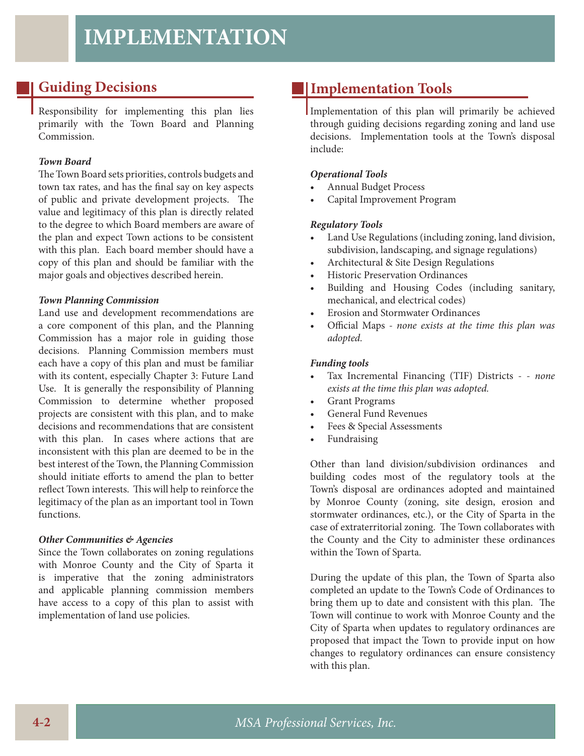### **Guiding Decisions**

Responsibility for implementing this plan lies primarily with the Town Board and Planning Commission.

#### *Town Board*

The Town Board sets priorities, controls budgets and town tax rates, and has the final say on key aspects of public and private development projects. The value and legitimacy of this plan is directly related to the degree to which Board members are aware of the plan and expect Town actions to be consistent with this plan. Each board member should have a copy of this plan and should be familiar with the major goals and objectives described herein.

#### *Town Planning Commission*

Land use and development recommendations are a core component of this plan, and the Planning Commission has a major role in guiding those decisions. Planning Commission members must each have a copy of this plan and must be familiar with its content, especially Chapter 3: Future Land Use. It is generally the responsibility of Planning Commission to determine whether proposed projects are consistent with this plan, and to make decisions and recommendations that are consistent with this plan. In cases where actions that are inconsistent with this plan are deemed to be in the best interest of the Town, the Planning Commission should initiate efforts to amend the plan to better reflect Town interests. This will help to reinforce the legitimacy of the plan as an important tool in Town functions.

#### *Other Communities & Agencies*

Since the Town collaborates on zoning regulations with Monroe County and the City of Sparta it is imperative that the zoning administrators and applicable planning commission members have access to a copy of this plan to assist with implementation of land use policies.

### **Implementation Tools**

Implementation of this plan will primarily be achieved through guiding decisions regarding zoning and land use decisions. Implementation tools at the Town's disposal include:

#### *Operational Tools*

- Annual Budget Process
- Capital Improvement Program

#### *Regulatory Tools*

- Land Use Regulations (including zoning, land division, subdivision, landscaping, and signage regulations)
- Architectural & Site Design Regulations
- Historic Preservation Ordinances
- Building and Housing Codes (including sanitary, mechanical, and electrical codes)
- Erosion and Stormwater Ordinances
- Official Maps none exists at the time this plan was *adopted.*

#### *Funding tools*

- Tax Incremental Financing (TIF) Districts  *none exists at the time this plan was adopted.*
- Grant Programs
- General Fund Revenues
- Fees & Special Assessments
- Fundraising

Other than land division/subdivision ordinances and building codes most of the regulatory tools at the Town's disposal are ordinances adopted and maintained by Monroe County (zoning, site design, erosion and stormwater ordinances, etc.), or the City of Sparta in the case of extraterritorial zoning. The Town collaborates with the County and the City to administer these ordinances within the Town of Sparta.

During the update of this plan, the Town of Sparta also completed an update to the Town's Code of Ordinances to bring them up to date and consistent with this plan. The Town will continue to work with Monroe County and the City of Sparta when updates to regulatory ordinances are proposed that impact the Town to provide input on how changes to regulatory ordinances can ensure consistency with this plan.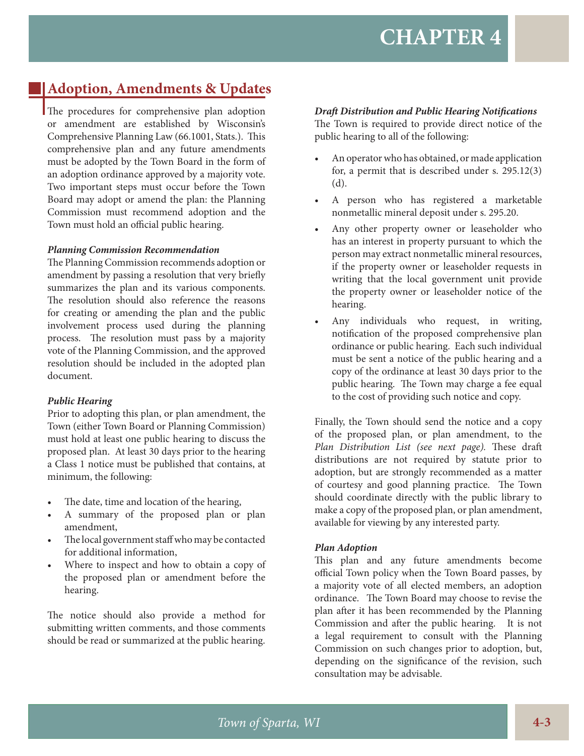### **Adoption, Amendments & Updates**

The procedures for comprehensive plan adoption or amendment are established by Wisconsin's Comprehensive Planning Law (66.1001, Stats.). This comprehensive plan and any future amendments must be adopted by the Town Board in the form of an adoption ordinance approved by a majority vote. Two important steps must occur before the Town Board may adopt or amend the plan: the Planning Commission must recommend adoption and the Town must hold an official public hearing.

#### *Planning Commission Recommendation*

The Planning Commission recommends adoption or amendment by passing a resolution that very briefly summarizes the plan and its various components. The resolution should also reference the reasons for creating or amending the plan and the public involvement process used during the planning process. The resolution must pass by a majority vote of the Planning Commission, and the approved resolution should be included in the adopted plan document.

#### *Public Hearing*

Prior to adopting this plan, or plan amendment, the Town (either Town Board or Planning Commission) must hold at least one public hearing to discuss the proposed plan. At least 30 days prior to the hearing a Class 1 notice must be published that contains, at minimum, the following:

- The date, time and location of the hearing,
- A summary of the proposed plan or plan amendment,
- The local government staff who may be contacted for additional information,
- Where to inspect and how to obtain a copy of the proposed plan or amendment before the hearing.

The notice should also provide a method for submitting written comments, and those comments should be read or summarized at the public hearing.

#### *Draft Distribution and Public Hearing Notifications*

The Town is required to provide direct notice of the public hearing to all of the following:

- An operator who has obtained, or made application for, a permit that is described under s. 295.12(3) (d).
- A person who has registered a marketable nonmetallic mineral deposit under s. 295.20.
- Any other property owner or leaseholder who has an interest in property pursuant to which the person may extract nonmetallic mineral resources, if the property owner or leaseholder requests in writing that the local government unit provide the property owner or leaseholder notice of the hearing.
- Any individuals who request, in writing, notification of the proposed comprehensive plan ordinance or public hearing. Each such individual must be sent a notice of the public hearing and a copy of the ordinance at least 30 days prior to the public hearing. The Town may charge a fee equal to the cost of providing such notice and copy.

Finally, the Town should send the notice and a copy of the proposed plan, or plan amendment, to the *Plan Distribution List (see next page).* These draft distributions are not required by statute prior to adoption, but are strongly recommended as a matter of courtesy and good planning practice. The Town should coordinate directly with the public library to make a copy of the proposed plan, or plan amendment, available for viewing by any interested party.

#### *Plan Adoption*

This plan and any future amendments become official Town policy when the Town Board passes, by a majority vote of all elected members, an adoption ordinance. The Town Board may choose to revise the plan after it has been recommended by the Planning Commission and after the public hearing. It is not a legal requirement to consult with the Planning Commission on such changes prior to adoption, but, depending on the significance of the revision, such consultation may be advisable.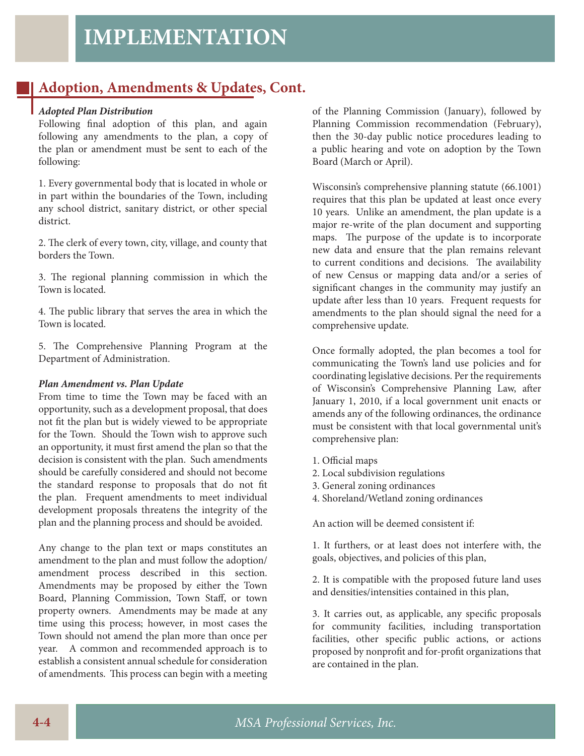### **Adoption, Amendments & Updates, Cont.**

#### *Adopted Plan Distribution*

Following final adoption of this plan, and again following any amendments to the plan, a copy of the plan or amendment must be sent to each of the following:

1. Every governmental body that is located in whole or in part within the boundaries of the Town, including any school district, sanitary district, or other special district.

2. The clerk of every town, city, village, and county that borders the Town.

3. The regional planning commission in which the Town is located.

4. The public library that serves the area in which the Town is located.

5. The Comprehensive Planning Program at the Department of Administration.

#### *Plan Amendment vs. Plan Update*

From time to time the Town may be faced with an opportunity, such as a development proposal, that does not fit the plan but is widely viewed to be appropriate for the Town. Should the Town wish to approve such an opportunity, it must first amend the plan so that the decision is consistent with the plan. Such amendments should be carefully considered and should not become the standard response to proposals that do not fit the plan. Frequent amendments to meet individual development proposals threatens the integrity of the plan and the planning process and should be avoided.

Any change to the plan text or maps constitutes an amendment to the plan and must follow the adoption/ amendment process described in this section. Amendments may be proposed by either the Town Board, Planning Commission, Town Staff, or town property owners. Amendments may be made at any time using this process; however, in most cases the Town should not amend the plan more than once per year. A common and recommended approach is to establish a consistent annual schedule for consideration of amendments. This process can begin with a meeting of the Planning Commission (January), followed by Planning Commission recommendation (February), then the 30-day public notice procedures leading to a public hearing and vote on adoption by the Town Board (March or April).

Wisconsin's comprehensive planning statute (66.1001) requires that this plan be updated at least once every 10 years. Unlike an amendment, the plan update is a major re-write of the plan document and supporting maps. The purpose of the update is to incorporate new data and ensure that the plan remains relevant to current conditions and decisions. The availability of new Census or mapping data and/or a series of significant changes in the community may justify an update after less than 10 years. Frequent requests for amendments to the plan should signal the need for a comprehensive update.

Once formally adopted, the plan becomes a tool for communicating the Town's land use policies and for coordinating legislative decisions. Per the requirements of Wisconsin's Comprehensive Planning Law, after January 1, 2010, if a local government unit enacts or amends any of the following ordinances, the ordinance must be consistent with that local governmental unit's comprehensive plan:

- 1. Official maps
- 2. Local subdivision regulations
- 3. General zoning ordinances
- 4. Shoreland/Wetland zoning ordinances

An action will be deemed consistent if:

1. It furthers, or at least does not interfere with, the goals, objectives, and policies of this plan,

2. It is compatible with the proposed future land uses and densities/intensities contained in this plan,

3. It carries out, as applicable, any specific proposals for community facilities, including transportation facilities, other specific public actions, or actions proposed by nonprofit and for-profit organizations that are contained in the plan.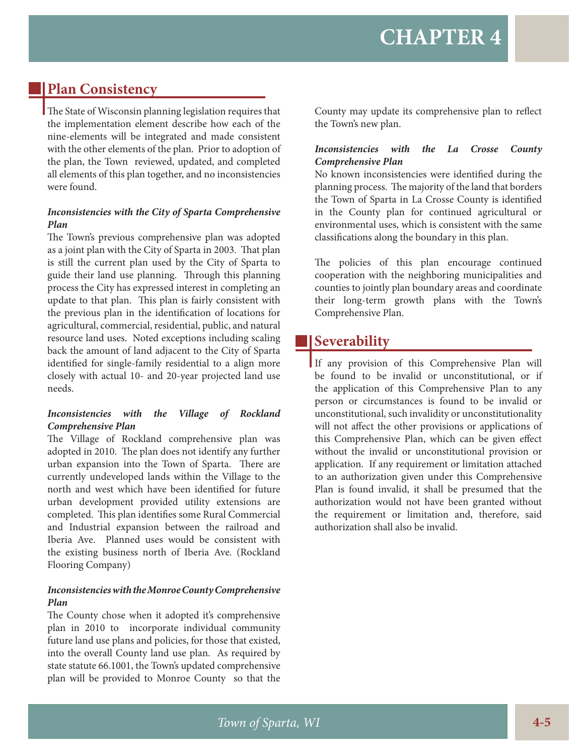### **Plan Consistency**

The State of Wisconsin planning legislation requires that the implementation element describe how each of the nine-elements will be integrated and made consistent with the other elements of the plan. Prior to adoption of the plan, the Town reviewed, updated, and completed all elements of this plan together, and no inconsistencies were found.

#### *Inconsistencies with the City of Sparta Comprehensive Plan*

The Town's previous comprehensive plan was adopted as a joint plan with the City of Sparta in 2003. That plan is still the current plan used by the City of Sparta to guide their land use planning. Through this planning process the City has expressed interest in completing an update to that plan. This plan is fairly consistent with the previous plan in the identification of locations for agricultural, commercial, residential, public, and natural resource land uses. Noted exceptions including scaling back the amount of land adjacent to the City of Sparta identified for single-family residential to a align more closely with actual 10- and 20-year projected land use needs.

#### *Inconsistencies with the Village of Rockland Comprehensive Plan*

The Village of Rockland comprehensive plan was adopted in 2010. The plan does not identify any further urban expansion into the Town of Sparta. There are currently undeveloped lands within the Village to the north and west which have been identified for future urban development provided utility extensions are completed. This plan identifies some Rural Commercial and Industrial expansion between the railroad and Iberia Ave. Planned uses would be consistent with the existing business north of Iberia Ave. (Rockland Flooring Company)

#### *Inconsistencies with the Monroe County Comprehensive Plan*

The County chose when it adopted it's comprehensive plan in 2010 to incorporate individual community future land use plans and policies, for those that existed, into the overall County land use plan. As required by state statute 66.1001, the Town's updated comprehensive plan will be provided to Monroe County so that the

County may update its comprehensive plan to reflect the Town's new plan.

#### *Inconsistencies with the La Crosse County Comprehensive Plan*

No known inconsistencies were identified during the planning process. The majority of the land that borders the Town of Sparta in La Crosse County is identified in the County plan for continued agricultural or environmental uses, which is consistent with the same classifications along the boundary in this plan.

The policies of this plan encourage continued cooperation with the neighboring municipalities and counties to jointly plan boundary areas and coordinate their long-term growth plans with the Town's Comprehensive Plan.

### **Severability**

If any provision of this Comprehensive Plan will be found to be invalid or unconstitutional, or if the application of this Comprehensive Plan to any person or circumstances is found to be invalid or unconstitutional, such invalidity or unconstitutionality will not affect the other provisions or applications of this Comprehensive Plan, which can be given effect without the invalid or unconstitutional provision or application. If any requirement or limitation attached to an authorization given under this Comprehensive Plan is found invalid, it shall be presumed that the authorization would not have been granted without the requirement or limitation and, therefore, said authorization shall also be invalid.